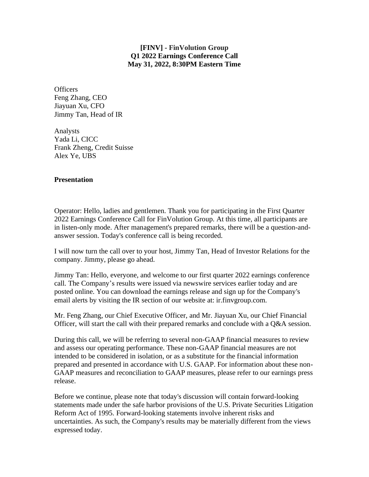## **[FINV] - FinVolution Group Q1 2022 Earnings Conference Call May 31, 2022, 8:30PM Eastern Time**

**Officers** Feng Zhang, CEO Jiayuan Xu, CFO Jimmy Tan, Head of IR

Analysts Yada Li, CICC Frank Zheng, Credit Suisse Alex Ye, UBS

## **Presentation**

Operator: Hello, ladies and gentlemen. Thank you for participating in the First Quarter 2022 Earnings Conference Call for FinVolution Group. At this time, all participants are in listen-only mode. After management's prepared remarks, there will be a question-andanswer session. Today's conference call is being recorded.

I will now turn the call over to your host, Jimmy Tan, Head of Investor Relations for the company. Jimmy, please go ahead.

Jimmy Tan: Hello, everyone, and welcome to our first quarter 2022 earnings conference call. The Company's results were issued via newswire services earlier today and are posted online. You can download the earnings release and sign up for the Company's email alerts by visiting the IR section of our website at: ir.finvgroup.com.

Mr. Feng Zhang, our Chief Executive Officer, and Mr. Jiayuan Xu, our Chief Financial Officer, will start the call with their prepared remarks and conclude with a Q&A session.

During this call, we will be referring to several non-GAAP financial measures to review and assess our operating performance. These non-GAAP financial measures are not intended to be considered in isolation, or as a substitute for the financial information prepared and presented in accordance with U.S. GAAP. For information about these non-GAAP measures and reconciliation to GAAP measures, please refer to our earnings press release.

Before we continue, please note that today's discussion will contain forward-looking statements made under the safe harbor provisions of the U.S. Private Securities Litigation Reform Act of 1995. Forward-looking statements involve inherent risks and uncertainties. As such, the Company's results may be materially different from the views expressed today.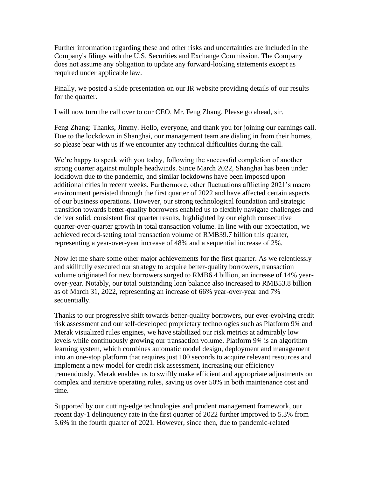Further information regarding these and other risks and uncertainties are included in the Company's filings with the U.S. Securities and Exchange Commission. The Company does not assume any obligation to update any forward-looking statements except as required under applicable law.

Finally, we posted a slide presentation on our IR website providing details of our results for the quarter.

I will now turn the call over to our CEO, Mr. Feng Zhang. Please go ahead, sir.

Feng Zhang: Thanks, Jimmy. Hello, everyone, and thank you for joining our earnings call. Due to the lockdown in Shanghai, our management team are dialing in from their homes, so please bear with us if we encounter any technical difficulties during the call.

We're happy to speak with you today, following the successful completion of another strong quarter against multiple headwinds. Since March 2022, Shanghai has been under lockdown due to the pandemic, and similar lockdowns have been imposed upon additional cities in recent weeks. Furthermore, other fluctuations afflicting 2021's macro environment persisted through the first quarter of 2022 and have affected certain aspects of our business operations. However, our strong technological foundation and strategic transition towards better-quality borrowers enabled us to flexibly navigate challenges and deliver solid, consistent first quarter results, highlighted by our eighth consecutive quarter-over-quarter growth in total transaction volume. In line with our expectation, we achieved record-setting total transaction volume of RMB39.7 billion this quarter, representing a year-over-year increase of 48% and a sequential increase of 2%.

Now let me share some other major achievements for the first quarter. As we relentlessly and skillfully executed our strategy to acquire better-quality borrowers, transaction volume originated for new borrowers surged to RMB6.4 billion, an increase of 14% yearover-year. Notably, our total outstanding loan balance also increased to RMB53.8 billion as of March 31, 2022, representing an increase of 66% year-over-year and 7% sequentially.

Thanks to our progressive shift towards better-quality borrowers, our ever-evolving credit risk assessment and our self-developed proprietary technologies such as Platform 9¾ and Merak visualized rules engines, we have stabilized our risk metrics at admirably low levels while continuously growing our transaction volume. Platform 9¾ is an algorithm learning system, which combines automatic model design, deployment and management into an one-stop platform that requires just 100 seconds to acquire relevant resources and implement a new model for credit risk assessment, increasing our efficiency tremendously. Merak enables us to swiftly make efficient and appropriate adjustments on complex and iterative operating rules, saving us over 50% in both maintenance cost and time.

Supported by our cutting-edge technologies and prudent management framework, our recent day-1 delinquency rate in the first quarter of 2022 further improved to 5.3% from 5.6% in the fourth quarter of 2021. However, since then, due to pandemic-related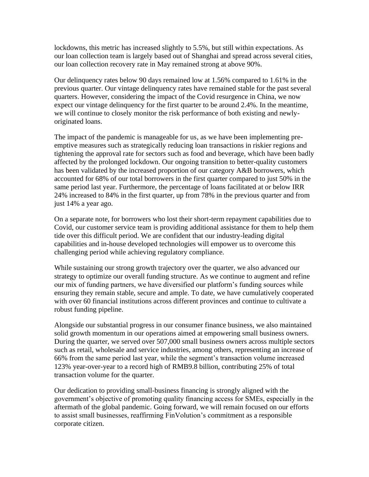lockdowns, this metric has increased slightly to 5.5%, but still within expectations. As our loan collection team is largely based out of Shanghai and spread across several cities, our loan collection recovery rate in May remained strong at above 90%.

Our delinquency rates below 90 days remained low at 1.56% compared to 1.61% in the previous quarter. Our vintage delinquency rates have remained stable for the past several quarters. However, considering the impact of the Covid resurgence in China, we now expect our vintage delinquency for the first quarter to be around 2.4%. In the meantime, we will continue to closely monitor the risk performance of both existing and newlyoriginated loans.

The impact of the pandemic is manageable for us, as we have been implementing preemptive measures such as strategically reducing loan transactions in riskier regions and tightening the approval rate for sectors such as food and beverage, which have been badly affected by the prolonged lockdown. Our ongoing transition to better-quality customers has been validated by the increased proportion of our category A&B borrowers, which accounted for 68% of our total borrowers in the first quarter compared to just 50% in the same period last year. Furthermore, the percentage of loans facilitated at or below IRR 24% increased to 84% in the first quarter, up from 78% in the previous quarter and from just 14% a year ago.

On a separate note, for borrowers who lost their short-term repayment capabilities due to Covid, our customer service team is providing additional assistance for them to help them tide over this difficult period. We are confident that our industry-leading digital capabilities and in-house developed technologies will empower us to overcome this challenging period while achieving regulatory compliance.

While sustaining our strong growth trajectory over the quarter, we also advanced our strategy to optimize our overall funding structure. As we continue to augment and refine our mix of funding partners, we have diversified our platform's funding sources while ensuring they remain stable, secure and ample. To date, we have cumulatively cooperated with over 60 financial institutions across different provinces and continue to cultivate a robust funding pipeline.

Alongside our substantial progress in our consumer finance business, we also maintained solid growth momentum in our operations aimed at empowering small business owners. During the quarter, we served over 507,000 small business owners across multiple sectors such as retail, wholesale and service industries, among others, representing an increase of 66% from the same period last year, while the segment's transaction volume increased 123% year-over-year to a record high of RMB9.8 billion, contributing 25% of total transaction volume for the quarter.

Our dedication to providing small-business financing is strongly aligned with the government's objective of promoting quality financing access for SMEs, especially in the aftermath of the global pandemic. Going forward, we will remain focused on our efforts to assist small businesses, reaffirming FinVolution's commitment as a responsible corporate citizen.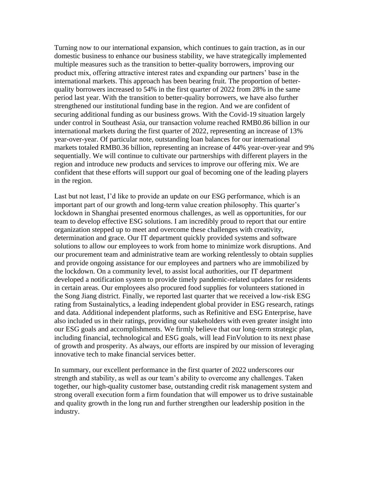Turning now to our international expansion, which continues to gain traction, as in our domestic business to enhance our business stability, we have strategically implemented multiple measures such as the transition to better-quality borrowers, improving our product mix, offering attractive interest rates and expanding our partners' base in the international markets. This approach has been bearing fruit. The proportion of betterquality borrowers increased to 54% in the first quarter of 2022 from 28% in the same period last year. With the transition to better-quality borrowers, we have also further strengthened our institutional funding base in the region. And we are confident of securing additional funding as our business grows. With the Covid-19 situation largely under control in Southeast Asia, our transaction volume reached RMB0.86 billion in our international markets during the first quarter of 2022, representing an increase of 13% year-over-year. Of particular note, outstanding loan balances for our international markets totaled RMB0.36 billion, representing an increase of 44% year-over-year and 9% sequentially. We will continue to cultivate our partnerships with different players in the region and introduce new products and services to improve our offering mix. We are confident that these efforts will support our goal of becoming one of the leading players in the region.

Last but not least, I'd like to provide an update on our ESG performance, which is an important part of our growth and long-term value creation philosophy. This quarter's lockdown in Shanghai presented enormous challenges, as well as opportunities, for our team to develop effective ESG solutions. I am incredibly proud to report that our entire organization stepped up to meet and overcome these challenges with creativity, determination and grace. Our IT department quickly provided systems and software solutions to allow our employees to work from home to minimize work disruptions. And our procurement team and administrative team are working relentlessly to obtain supplies and provide ongoing assistance for our employees and partners who are immobilized by the lockdown. On a community level, to assist local authorities, our IT department developed a notification system to provide timely pandemic-related updates for residents in certain areas. Our employees also procured food supplies for volunteers stationed in the Song Jiang district. Finally, we reported last quarter that we received a low-risk ESG rating from Sustainalytics, a leading independent global provider in ESG research, ratings and data. Additional independent platforms, such as Refinitive and ESG Enterprise, have also included us in their ratings, providing our stakeholders with even greater insight into our ESG goals and accomplishments. We firmly believe that our long-term strategic plan, including financial, technological and ESG goals, will lead FinVolution to its next phase of growth and prosperity. As always, our efforts are inspired by our mission of leveraging innovative tech to make financial services better.

In summary, our excellent performance in the first quarter of 2022 underscores our strength and stability, as well as our team's ability to overcome any challenges. Taken together, our high-quality customer base, outstanding credit risk management system and strong overall execution form a firm foundation that will empower us to drive sustainable and quality growth in the long run and further strengthen our leadership position in the industry.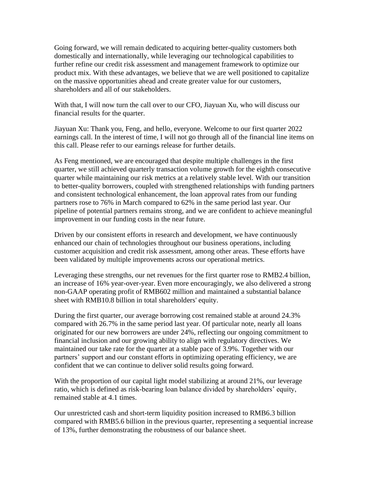Going forward, we will remain dedicated to acquiring better-quality customers both domestically and internationally, while leveraging our technological capabilities to further refine our credit risk assessment and management framework to optimize our product mix. With these advantages, we believe that we are well positioned to capitalize on the massive opportunities ahead and create greater value for our customers, shareholders and all of our stakeholders.

With that, I will now turn the call over to our CFO, Jiayuan Xu, who will discuss our financial results for the quarter.

Jiayuan Xu: Thank you, Feng, and hello, everyone. Welcome to our first quarter 2022 earnings call. In the interest of time, I will not go through all of the financial line items on this call. Please refer to our earnings release for further details.

As Feng mentioned, we are encouraged that despite multiple challenges in the first quarter, we still achieved quarterly transaction volume growth for the eighth consecutive quarter while maintaining our risk metrics at a relatively stable level. With our transition to better-quality borrowers, coupled with strengthened relationships with funding partners and consistent technological enhancement, the loan approval rates from our funding partners rose to 76% in March compared to 62% in the same period last year. Our pipeline of potential partners remains strong, and we are confident to achieve meaningful improvement in our funding costs in the near future.

Driven by our consistent efforts in research and development, we have continuously enhanced our chain of technologies throughout our business operations, including customer acquisition and credit risk assessment, among other areas. These efforts have been validated by multiple improvements across our operational metrics.

Leveraging these strengths, our net revenues for the first quarter rose to RMB2.4 billion, an increase of 16% year-over-year. Even more encouragingly, we also delivered a strong non-GAAP operating profit of RMB602 million and maintained a substantial balance sheet with RMB10.8 billion in total shareholders' equity.

During the first quarter, our average borrowing cost remained stable at around 24.3% compared with 26.7% in the same period last year. Of particular note, nearly all loans originated for our new borrowers are under 24%, reflecting our ongoing commitment to financial inclusion and our growing ability to align with regulatory directives. We maintained our take rate for the quarter at a stable pace of 3.9%. Together with our partners' support and our constant efforts in optimizing operating efficiency, we are confident that we can continue to deliver solid results going forward.

With the proportion of our capital light model stabilizing at around 21%, our leverage ratio, which is defined as risk-bearing loan balance divided by shareholders' equity, remained stable at 4.1 times.

Our unrestricted cash and short-term liquidity position increased to RMB6.3 billion compared with RMB5.6 billion in the previous quarter, representing a sequential increase of 13%, further demonstrating the robustness of our balance sheet.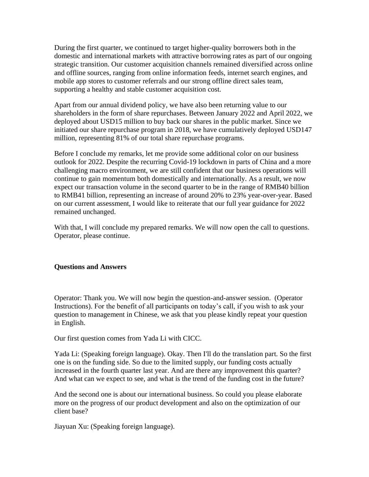During the first quarter, we continued to target higher-quality borrowers both in the domestic and international markets with attractive borrowing rates as part of our ongoing strategic transition. Our customer acquisition channels remained diversified across online and offline sources, ranging from online information feeds, internet search engines, and mobile app stores to customer referrals and our strong offline direct sales team, supporting a healthy and stable customer acquisition cost.

Apart from our annual dividend policy, we have also been returning value to our shareholders in the form of share repurchases. Between January 2022 and April 2022, we deployed about USD15 million to buy back our shares in the public market. Since we initiated our share repurchase program in 2018, we have cumulatively deployed USD147 million, representing 81% of our total share repurchase programs.

Before I conclude my remarks, let me provide some additional color on our business outlook for 2022. Despite the recurring Covid-19 lockdown in parts of China and a more challenging macro environment, we are still confident that our business operations will continue to gain momentum both domestically and internationally. As a result, we now expect our transaction volume in the second quarter to be in the range of RMB40 billion to RMB41 billion, representing an increase of around 20% to 23% year-over-year. Based on our current assessment, I would like to reiterate that our full year guidance for 2022 remained unchanged.

With that, I will conclude my prepared remarks. We will now open the call to questions. Operator, please continue.

## **Questions and Answers**

Operator: Thank you. We will now begin the question-and-answer session. (Operator Instructions). For the benefit of all participants on today's call, if you wish to ask your question to management in Chinese, we ask that you please kindly repeat your question in English.

Our first question comes from Yada Li with CICC.

Yada Li: (Speaking foreign language). Okay. Then I'll do the translation part. So the first one is on the funding side. So due to the limited supply, our funding costs actually increased in the fourth quarter last year. And are there any improvement this quarter? And what can we expect to see, and what is the trend of the funding cost in the future?

And the second one is about our international business. So could you please elaborate more on the progress of our product development and also on the optimization of our client base?

Jiayuan Xu: (Speaking foreign language).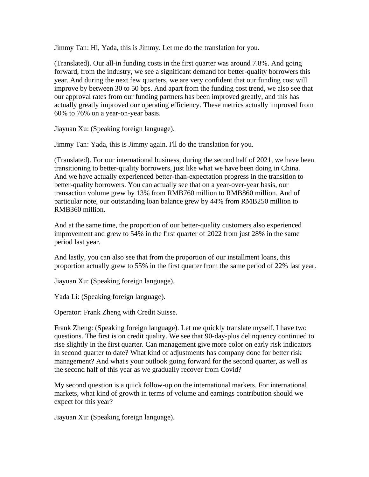Jimmy Tan: Hi, Yada, this is Jimmy. Let me do the translation for you.

(Translated). Our all-in funding costs in the first quarter was around 7.8%. And going forward, from the industry, we see a significant demand for better-quality borrowers this year. And during the next few quarters, we are very confident that our funding cost will improve by between 30 to 50 bps. And apart from the funding cost trend, we also see that our approval rates from our funding partners has been improved greatly, and this has actually greatly improved our operating efficiency. These metrics actually improved from 60% to 76% on a year-on-year basis.

Jiayuan Xu: (Speaking foreign language).

Jimmy Tan: Yada, this is Jimmy again. I'll do the translation for you.

(Translated). For our international business, during the second half of 2021, we have been transitioning to better-quality borrowers, just like what we have been doing in China. And we have actually experienced better-than-expectation progress in the transition to better-quality borrowers. You can actually see that on a year-over-year basis, our transaction volume grew by 13% from RMB760 million to RMB860 million. And of particular note, our outstanding loan balance grew by 44% from RMB250 million to RMB360 million.

And at the same time, the proportion of our better-quality customers also experienced improvement and grew to 54% in the first quarter of 2022 from just 28% in the same period last year.

And lastly, you can also see that from the proportion of our installment loans, this proportion actually grew to 55% in the first quarter from the same period of 22% last year.

Jiayuan Xu: (Speaking foreign language).

Yada Li: (Speaking foreign language).

Operator: Frank Zheng with Credit Suisse.

Frank Zheng: (Speaking foreign language). Let me quickly translate myself. I have two questions. The first is on credit quality. We see that 90-day-plus delinquency continued to rise slightly in the first quarter. Can management give more color on early risk indicators in second quarter to date? What kind of adjustments has company done for better risk management? And what's your outlook going forward for the second quarter, as well as the second half of this year as we gradually recover from Covid?

My second question is a quick follow-up on the international markets. For international markets, what kind of growth in terms of volume and earnings contribution should we expect for this year?

Jiayuan Xu: (Speaking foreign language).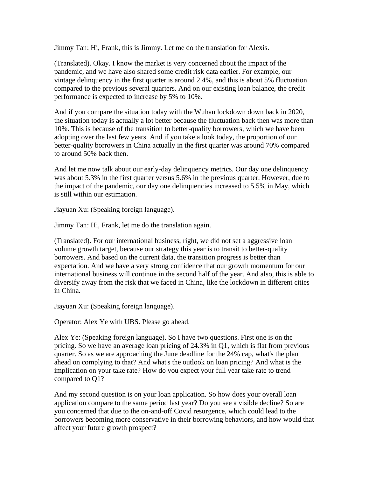Jimmy Tan: Hi, Frank, this is Jimmy. Let me do the translation for Alexis.

(Translated). Okay. I know the market is very concerned about the impact of the pandemic, and we have also shared some credit risk data earlier. For example, our vintage delinquency in the first quarter is around 2.4%, and this is about 5% fluctuation compared to the previous several quarters. And on our existing loan balance, the credit performance is expected to increase by 5% to 10%.

And if you compare the situation today with the Wuhan lockdown down back in 2020, the situation today is actually a lot better because the fluctuation back then was more than 10%. This is because of the transition to better-quality borrowers, which we have been adopting over the last few years. And if you take a look today, the proportion of our better-quality borrowers in China actually in the first quarter was around 70% compared to around 50% back then.

And let me now talk about our early-day delinquency metrics. Our day one delinquency was about 5.3% in the first quarter versus 5.6% in the previous quarter. However, due to the impact of the pandemic, our day one delinquencies increased to 5.5% in May, which is still within our estimation.

Jiayuan Xu: (Speaking foreign language).

Jimmy Tan: Hi, Frank, let me do the translation again.

(Translated). For our international business, right, we did not set a aggressive loan volume growth target, because our strategy this year is to transit to better-quality borrowers. And based on the current data, the transition progress is better than expectation. And we have a very strong confidence that our growth momentum for our international business will continue in the second half of the year. And also, this is able to diversify away from the risk that we faced in China, like the lockdown in different cities in China.

Jiayuan Xu: (Speaking foreign language).

Operator: Alex Ye with UBS. Please go ahead.

Alex Ye: (Speaking foreign language). So I have two questions. First one is on the pricing. So we have an average loan pricing of 24.3% in Q1, which is flat from previous quarter. So as we are approaching the June deadline for the 24% cap, what's the plan ahead on complying to that? And what's the outlook on loan pricing? And what is the implication on your take rate? How do you expect your full year take rate to trend compared to Q1?

And my second question is on your loan application. So how does your overall loan application compare to the same period last year? Do you see a visible decline? So are you concerned that due to the on-and-off Covid resurgence, which could lead to the borrowers becoming more conservative in their borrowing behaviors, and how would that affect your future growth prospect?